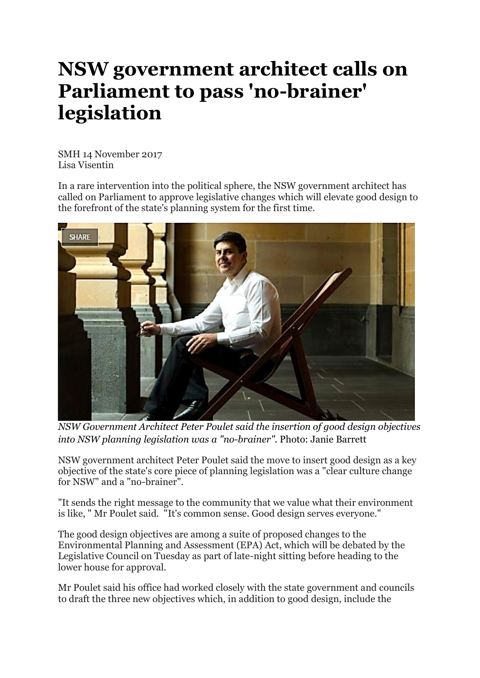## **NSW government architect calls on Parliament to pass 'no-brainer' legislation**

SMH 14 November 2017 Lisa Visentin

In a rare intervention into the political sphere, the NSW government architect has called on Parliament to approve legislative changes which will elevate good design to the forefront of the state's planning system for the first time.



*NSW Government Architect Peter Poulet said the insertion of good design objectives into NSW planning legislation was a "no-brainer".* Photo: Janie Barrett

NSW government architect Peter Poulet said the move to insert good design as a key objective of the state's core piece of planning legislation was a "clear culture change for NSW" and a "no-brainer".

"It sends the right message to the community that we value what their environment is like, " Mr Poulet said. "It's common sense. Good design serves everyone."

The good design objectives are among a suite of proposed changes to the Environmental Planning and Assessment (EPA) Act, which will be debated by the Legislative Council on Tuesday as part of late-night sitting before heading to the lower house for approval.

Mr Poulet said his office had worked closely with the state government and councils to draft the three new objectives which, in addition to good design, include the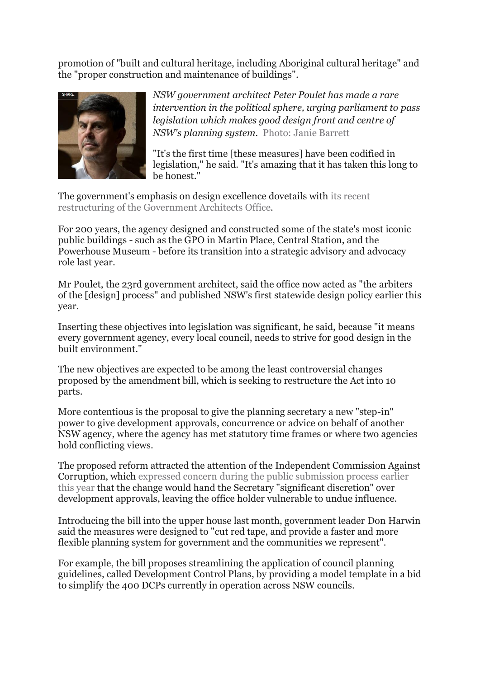promotion of "built and cultural heritage, including Aboriginal cultural heritage" and the "proper construction and maintenance of buildings".



*NSW government architect Peter Poulet has made a rare intervention in the political sphere, urging parliament to pass legislation which makes good design front and centre of NSW's planning system.* Photo: Janie Barrett

"It's the first time [these measures] have been codified in legislation," he said. "It's amazing that it has taken this long to be honest."

The government's emphasis on design excellence dovetails with its [recent](http://www.smh.com.au/nsw/after-200-years-nsw-government-architect-changes-tack-20160218-gmy2cm.html) [restructuring](http://www.smh.com.au/nsw/after-200-years-nsw-government-architect-changes-tack-20160218-gmy2cm.html) of the Government Architects Office.

For 200 years, the agency designed and constructed some of the state's most iconic public buildings - such as the GPO in Martin Place, Central Station, and the Powerhouse Museum - before its transition into a strategic advisory and advocacy role last year.

Mr Poulet, the 23rd government architect, said the office now acted as "the arbiters of the [design] process" and published NSW's first statewide design policy earlier this year.

Inserting these objectives into legislation was significant, he said, because "it means every government agency, every local council, needs to strive for good design in the built environment."

The new objectives are expected to be among the least controversial changes proposed by the amendment bill, which is seeking to restructure the Act into 10 parts.

More contentious is the proposal to give the planning secretary a new "step-in" power to give development approvals, concurrence or advice on behalf of another NSW agency, where the agency has met statutory time frames or where two agencies hold conflicting views.

The proposed reform attracted the attention of the Independent Commission Against Corruption, which expressed concern during the public [submission](http://www.smh.com.au/nsw/icac-concerned-over-planning-reforms-20170518-gw7m5c.html) process earlier this [year](http://www.smh.com.au/nsw/icac-concerned-over-planning-reforms-20170518-gw7m5c.html) that the change would hand the Secretary "significant discretion" over development approvals, leaving the office holder vulnerable to undue influence.

Introducing the bill into the upper house last month, government leader Don Harwin said the measures were designed to "cut red tape, and provide a faster and more flexible planning system for government and the communities we represent".

For example, the bill proposes streamlining the application of council planning guidelines, called Development Control Plans, by providing a model template in a bid to simplify the 400 DCPs currently in operation across NSW councils.